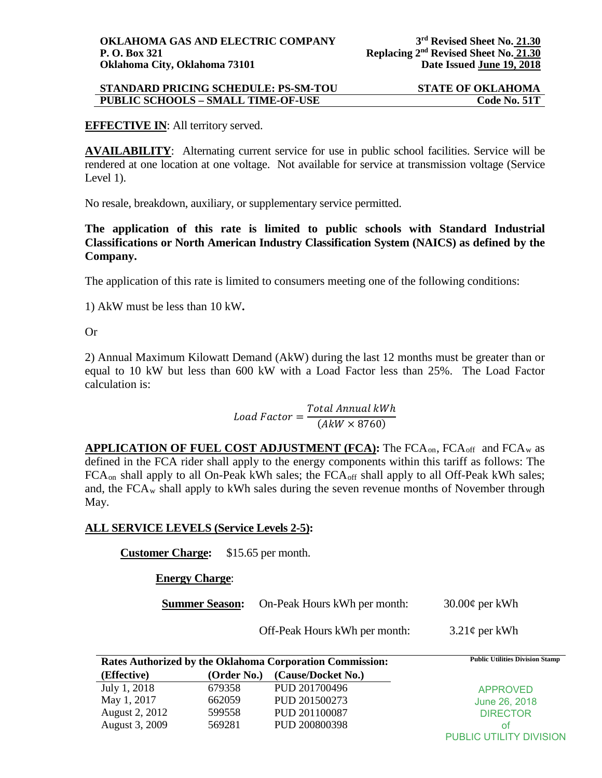### **STANDARD PRICING SCHEDULE: PS-SM-TOU STATE OF OKLAHOMA PUBLIC SCHOOLS – SMALL TIME-OF-USE Code No. 51T**

## **EFFECTIVE IN**: All territory served.

**AVAILABILITY:** Alternating current service for use in public school facilities. Service will be rendered at one location at one voltage. Not available for service at transmission voltage (Service Level 1).

No resale, breakdown, auxiliary, or supplementary service permitted.

**The application of this rate is limited to public schools with Standard Industrial Classifications or North American Industry Classification System (NAICS) as defined by the Company.** 

The application of this rate is limited to consumers meeting one of the following conditions:

1) AkW must be less than 10 kW**.**

Or

2) Annual Maximum Kilowatt Demand (AkW) during the last 12 months must be greater than or equal to 10 kW but less than 600 kW with a Load Factor less than 25%. The Load Factor calculation is:

# $\emph{Load Factor} = \frac{\emph{Total Annual kWh}}{(\emph{A}kW \times 8760)}$

APPLICATION OF FUEL COST ADJUSTMENT (FCA): The FCA<sub>on</sub>, FCA<sub>off</sub> and FCA<sub>w</sub> as defined in the FCA rider shall apply to the energy components within this tariff as follows: The FCA<sub>on</sub> shall apply to all On-Peak kWh sales; the FCA<sub>off</sub> shall apply to all Off-Peak kWh sales; and, the  $FCA_w$  shall apply to kWh sales during the seven revenue months of November through May.

#### **ALL SERVICE LEVELS (Service Levels 2-5):**

**Customer Charge:** \$15.65 per month.

**Energy Charge**:

**Summer Season:** On-Peak Hours kWh per month:  $30.00¢$  per kWh

Off-Peak Hours kWh per month:  $3.21\phi$  per kWh

|                |             | Rates Authorized by the Oklahoma Corporation Commission: | <b>Public Utilities Division Stamp</b> |
|----------------|-------------|----------------------------------------------------------|----------------------------------------|
| (Effective)    | (Order No.) | (Cause/Docket No.)                                       |                                        |
| July 1, 2018   | 679358      | PUD 201700496                                            | <b>APPROVED</b>                        |
| May 1, 2017    | 662059      | PUD 201500273                                            | June 26, 2018                          |
| August 2, 2012 | 599558      | PUD 201100087                                            | <b>DIRECTOR</b>                        |
| August 3, 2009 | 569281      | PUD 200800398                                            | ΟŤ                                     |
|                |             |                                                          | PUBLIC UTILITY DIVISION                |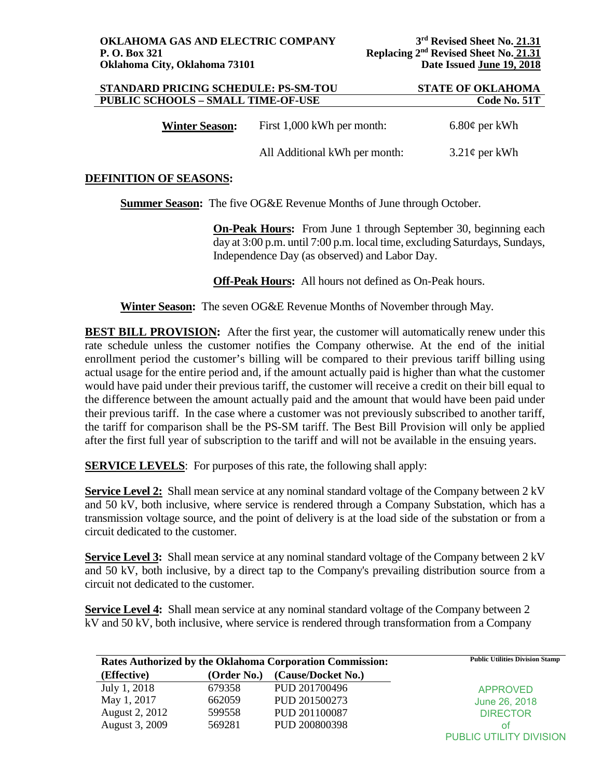| STANDARD PRICING SCHEDULE: PS-SM-TOU<br><b>PUBLIC SCHOOLS - SMALL TIME-OF-USE</b> | <b>STATE OF OKLAHOMA</b><br>Code No. 51T |                    |
|-----------------------------------------------------------------------------------|------------------------------------------|--------------------|
| <b>Winter Season:</b>                                                             | First 1,000 kWh per month:               | $6.80\phi$ per kWh |
|                                                                                   | All Additional kWh per month:            | $3.21\phi$ per kWh |

## **DEFINITION OF SEASONS:**

**Summer Season:** The five OG&E Revenue Months of June through October.

**On-Peak Hours:** From June 1 through September 30, beginning each day at 3:00 p.m. until 7:00 p.m. local time, excluding Saturdays, Sundays, Independence Day (as observed) and Labor Day.

**Off-Peak Hours:** All hours not defined as On-Peak hours.

**Winter Season:** The seven OG&E Revenue Months of November through May.

**BEST BILL PROVISION:** After the first year, the customer will automatically renew under this rate schedule unless the customer notifies the Company otherwise. At the end of the initial enrollment period the customer's billing will be compared to their previous tariff billing using actual usage for the entire period and, if the amount actually paid is higher than what the customer would have paid under their previous tariff, the customer will receive a credit on their bill equal to the difference between the amount actually paid and the amount that would have been paid under their previous tariff. In the case where a customer was not previously subscribed to another tariff, the tariff for comparison shall be the PS-SM tariff. The Best Bill Provision will only be applied after the first full year of subscription to the tariff and will not be available in the ensuing years.

**SERVICE LEVELS:** For purposes of this rate, the following shall apply:

**Service Level 2:** Shall mean service at any nominal standard voltage of the Company between 2 kV and 50 kV, both inclusive, where service is rendered through a Company Substation, which has a transmission voltage source, and the point of delivery is at the load side of the substation or from a circuit dedicated to the customer.

**Service Level 3:** Shall mean service at any nominal standard voltage of the Company between 2 kV and 50 kV, both inclusive, by a direct tap to the Company's prevailing distribution source from a circuit not dedicated to the customer.

**Service Level 4:** Shall mean service at any nominal standard voltage of the Company between 2 kV and 50 kV, both inclusive, where service is rendered through transformation from a Company

| <b>Rates Authorized by the Oklahoma Corporation Commission:</b> |             | <b>Public Utilities Division Stamp</b> |                         |
|-----------------------------------------------------------------|-------------|----------------------------------------|-------------------------|
| (Effective)                                                     | (Order No.) | (Cause/Docket No.)                     |                         |
| July 1, 2018                                                    | 679358      | PUD 201700496                          | <b>APPROVED</b>         |
| May 1, 2017                                                     | 662059      | PUD 201500273                          | June 26, 2018           |
| August 2, 2012                                                  | 599558      | PUD 201100087                          | <b>DIRECTOR</b>         |
| August 3, 2009                                                  | 569281      | PUD 200800398                          | ΩŤ                      |
|                                                                 |             |                                        | PUBLIC UTILITY DIVISION |